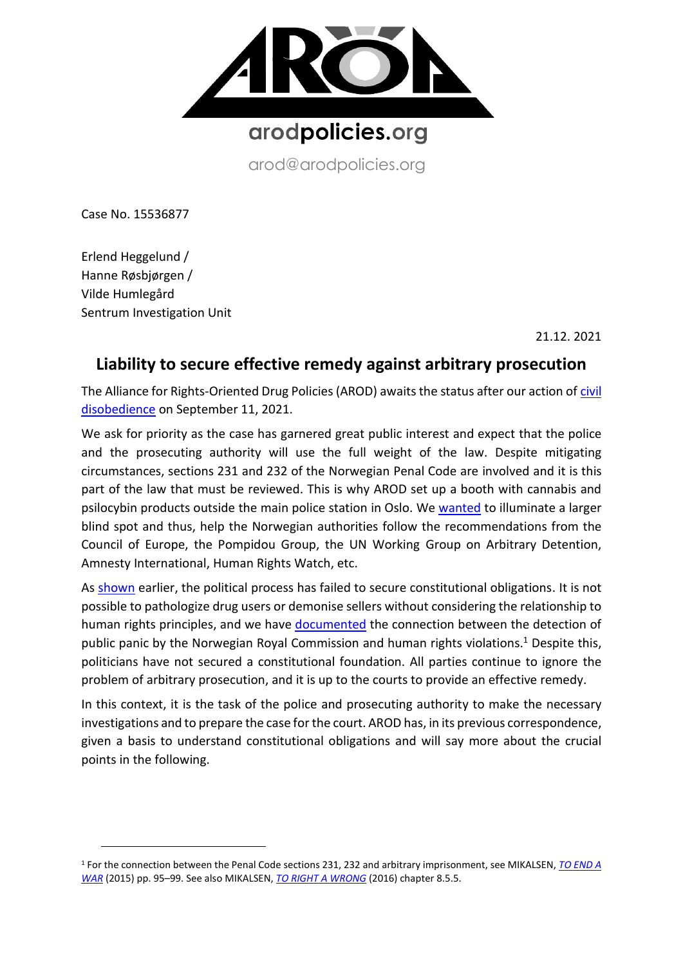

arod@arodpolicies.org

Case No. 15536877

Erlend Heggelund / Hanne Røsbjørgen / Vilde Humlegård Sentrum Investigation Unit

21.12. 2021

# **Liability to secure effective remedy against arbitrary prosecution**

The Alliance for Rights-Oriented Drug Policies (AROD) awaits the status after our action o[f civil](https://www.youtube.com/watch?v=CwkYd-ajH8U)  [disobedience](https://www.youtube.com/watch?v=CwkYd-ajH8U) on September 11, 2021.

We ask for priority as the case has garnered great public interest and expect that the police and the prosecuting authority will use the full weight of the law. Despite mitigating circumstances, sections 231 and 232 of the Norwegian Penal Code are involved and it is this part of the law that must be reviewed. This is why AROD set up a booth with cannabis and psilocybin products outside the main police station in Oslo. We [wanted](https://www.arodpolicies.org/press-release) to illuminate a larger blind spot and thus, help the Norwegian authorities follow the recommendations from the Council of Europe, the Pompidou Group, the UN Working Group on Arbitrary Detention, Amnesty International, Human Rights Watch, etc.

As [shown](https://8c75b10d-e0b1-4d25-99ed-609c80001c6c.filesusr.com/ugd/a479b9_dc82c0be293e4e3693eef3db703fc4e7.pdf) earlier, the political process has failed to secure constitutional obligations. It is not possible to pathologize drug users or demonise sellers without considering the relationship to human rights principles, and we have [documented](https://8c75b10d-e0b1-4d25-99ed-609c80001c6c.filesusr.com/ugd/a479b9_691bc7dd23f649cf9d224f58dc203107.pdf) the connection between the detection of public panic by the Norwegian Royal Commission and human rights violations.<sup>1</sup> Despite this, politicians have not secured a constitutional foundation. All parties continue to ignore the problem of arbitrary prosecution, and it is up to the courts to provide an effective remedy.

In this context, it is the task of the police and prosecuting authority to make the necessary investigations and to prepare the case for the court. AROD has, in its previous correspondence, given a basis to understand constitutional obligations and will say more about the crucial points in the following.

<sup>1</sup> For the connection between the Penal Code sections 231, 232 and arbitrary imprisonment, see MIKALSEN, *[TO END A](https://8c75b10d-e0b1-4d25-99ed-609c80001c6c.filesusr.com/ugd/a479b9_7d42e512731149f0b6b18fe7245242d2.pdf)  [WAR](https://8c75b10d-e0b1-4d25-99ed-609c80001c6c.filesusr.com/ugd/a479b9_7d42e512731149f0b6b18fe7245242d2.pdf)* (2015) pp. 95–99. See also MIKALSEN, *[TO RIGHT A WRONG](https://8c75b10d-e0b1-4d25-99ed-609c80001c6c.filesusr.com/ugd/a479b9_0c9d495a6a7148bab94a875c96260992.pdf)* (2016) chapter 8.5.5.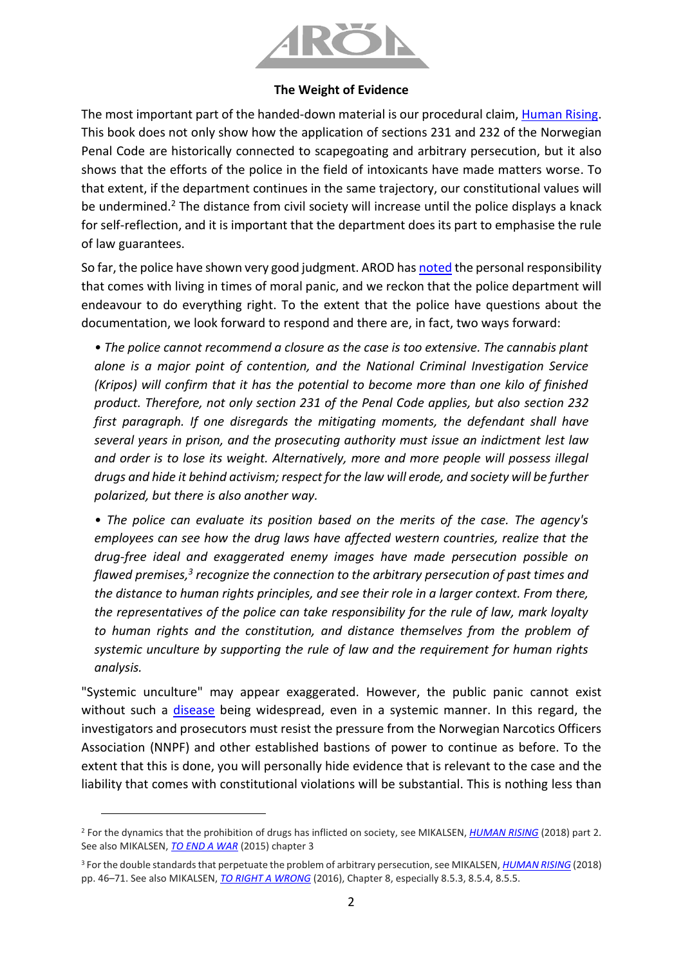

#### **The Weight of Evidence**

The most important part of the handed-down material is our procedural claim, [Human Rising.](https://www.arodpolicies.org/_files/ugd/a479b9_a6fb947e46d54fc2a14823029e7a5459.pdf) This book does not only show how the application of sections 231 and 232 of the Norwegian Penal Code are historically connected to scapegoating and arbitrary persecution, but it also shows that the efforts of the police in the field of intoxicants have made matters worse. To that extent, if the department continues in the same trajectory, our constitutional values will be undermined.<sup>2</sup> The distance from civil society will increase until the police displays a knack for self-reflection, and it is important that the department does its part to emphasise the rule of law guarantees.

So far, the police have shown very good judgment. AROD has [noted](https://juristen.no/debatt/2021/10/vil-p%C3%A5talemyndigheten-st%C3%B8tte-menneskerettigheter-eller-videref%C3%B8re-offentlig-panikk) the personal responsibility that comes with living in times of moral panic, and we reckon that the police department will endeavour to do everything right. To the extent that the police have questions about the documentation, we look forward to respond and there are, in fact, two ways forward:

*• The police cannot recommend a closure as the case is too extensive. The cannabis plant alone is a major point of contention, and the National Criminal Investigation Service (Kripos) will confirm that it has the potential to become more than one kilo of finished product. Therefore, not only section 231 of the Penal Code applies, but also section 232 first paragraph. If one disregards the mitigating moments, the defendant shall have several years in prison, and the prosecuting authority must issue an indictment lest law and order is to lose its weight. Alternatively, more and more people will possess illegal drugs and hide it behind activism; respect for the law will erode, and society will be further polarized, but there is also another way.*

*• The police can evaluate its position based on the merits of the case. The agency's employees can see how the drug laws have affected western countries, realize that the drug-free ideal and exaggerated enemy images have made persecution possible on*  flawed premises,<sup>3</sup> recognize the connection to the arbitrary persecution of past times and *the distance to human rights principles, and see their role in a larger context. From there, the representatives of the police can take responsibility for the rule of law, mark loyalty to human rights and the constitution, and distance themselves from the problem of systemic unculture by supporting the rule of law and the requirement for human rights analysis.*

"Systemic unculture" may appear exaggerated. However, the public panic cannot exist without such a [disease](https://www.verdidebatt.no/innlegg/11754241-sjelemesse-for-politiet) being widespread, even in a systemic manner. In this regard, the investigators and prosecutors must resist the pressure from the Norwegian Narcotics Officers Association (NNPF) and other established bastions of power to continue as before. To the extent that this is done, you will personally hide evidence that is relevant to the case and the liability that comes with constitutional violations will be substantial. This is nothing less than

<sup>2</sup> For the dynamics that the prohibition of drugs has inflicted on society, see MIKALSEN, *[HUMAN RISING](https://www.arodpolicies.org/_files/ugd/a479b9_a6fb947e46d54fc2a14823029e7a5459.pdf)* (2018) part 2. See also MIKALSEN, *[TO END A WAR](https://8c75b10d-e0b1-4d25-99ed-609c80001c6c.filesusr.com/ugd/a479b9_7d42e512731149f0b6b18fe7245242d2.pdf)* (2015) chapter 3

<sup>3</sup> For the double standards that perpetuate the problem of arbitrary persecution, see MIKALSEN, *[HUMAN RISING](https://www.arodpolicies.org/_files/ugd/a479b9_a6fb947e46d54fc2a14823029e7a5459.pdf)* (2018) pp. 46–71. See also MIKALSEN, *[TO RIGHT A WRONG](https://8c75b10d-e0b1-4d25-99ed-609c80001c6c.filesusr.com/ugd/a479b9_0c9d495a6a7148bab94a875c96260992.pdf)* (2016), Chapter 8, especially 8.5.3, 8.5.4, 8.5.5.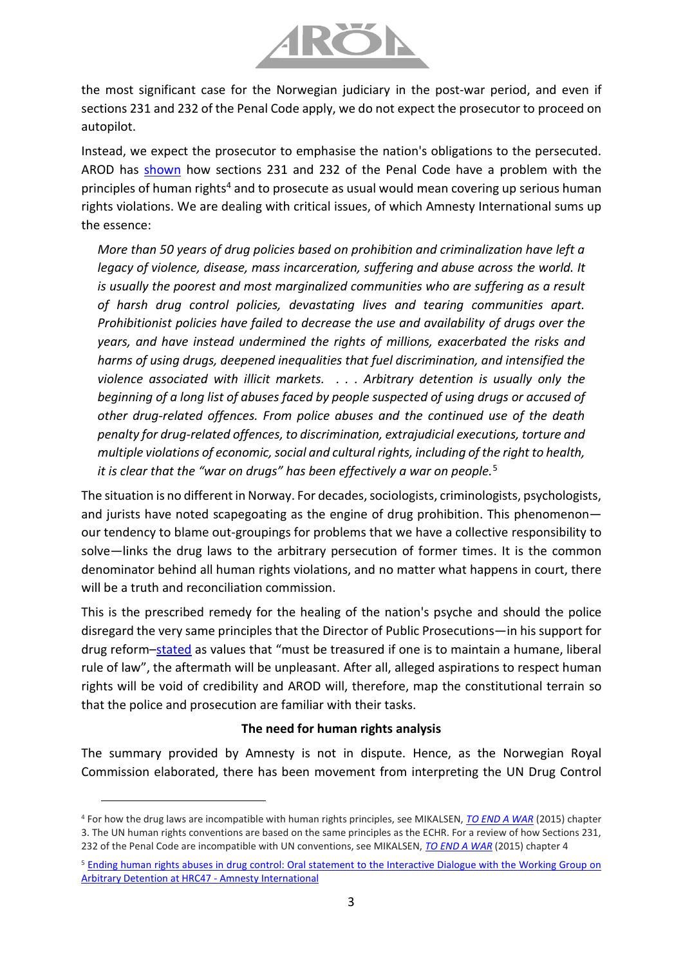

the most significant case for the Norwegian judiciary in the post-war period, and even if sections 231 and 232 of the Penal Code apply, we do not expect the prosecutor to proceed on autopilot.

Instead, we expect the prosecutor to emphasise the nation's obligations to the persecuted. AROD has [shown](https://8c75b10d-e0b1-4d25-99ed-609c80001c6c.filesusr.com/ugd/a479b9_d29c4ed8af27478fa861ab0723ad0db9.pdf) how sections 231 and 232 of the Penal Code have a problem with the principles of human rights<sup>4</sup> and to prosecute as usual would mean covering up serious human rights violations. We are dealing with critical issues, of which Amnesty International sums up the essence:

*More than 50 years of drug policies based on prohibition and criminalization have left a legacy of violence, disease, mass incarceration, suffering and abuse across the world. It is usually the poorest and most marginalized communities who are suffering as a result of harsh drug control policies, devastating lives and tearing communities apart. Prohibitionist policies have failed to decrease the use and availability of drugs over the years, and have instead undermined the rights of millions, exacerbated the risks and harms of using drugs, deepened inequalities that fuel discrimination, and intensified the violence associated with illicit markets. . . . Arbitrary detention is usually only the beginning of a long list of abuses faced by people suspected of using drugs or accused of other drug-related offences. From police abuses and the continued use of the death penalty for drug-related offences, to discrimination, extrajudicial executions, torture and multiple violations of economic, social and cultural rights, including of the right to health, it is clear that the "war on drugs" has been effectively a war on people.*<sup>5</sup>

The situation is no different in Norway. For decades, sociologists, criminologists, psychologists, and jurists have noted scapegoating as the engine of drug prohibition. This phenomenon our tendency to blame out-groupings for problems that we have a collective responsibility to solve—links the drug laws to the arbitrary persecution of former times. It is the common denominator behind all human rights violations, and no matter what happens in court, there will be a truth and reconciliation commission.

This is the prescribed remedy for the healing of the nation's psyche and should the police disregard the very same principles that the Director of Public Prosecutions—in his support for drug reform–[stated](https://www.riksadvokaten.no/document/horingsuttalelse-om-rusreform/) as values that "must be treasured if one is to maintain a humane, liberal rule of law", the aftermath will be unpleasant. After all, alleged aspirations to respect human rights will be void of credibility and AROD will, therefore, map the constitutional terrain so that the police and prosecution are familiar with their tasks.

## **The need for human rights analysis**

The summary provided by Amnesty is not in dispute. Hence, as the Norwegian Royal Commission elaborated, there has been movement from interpreting the UN Drug Control

<sup>4</sup> For how the drug laws are incompatible with human rights principles, see MIKALSEN, *[TO END A WAR](https://8c75b10d-e0b1-4d25-99ed-609c80001c6c.filesusr.com/ugd/a479b9_7d42e512731149f0b6b18fe7245242d2.pdf)* (2015) chapter 3. The UN human rights conventions are based on the same principles as the ECHR. For a review of how Sections 231, 232 of the Penal Code are incompatible with UN conventions, see MIKALSEN, *[TO END A WAR](https://8c75b10d-e0b1-4d25-99ed-609c80001c6c.filesusr.com/ugd/a479b9_7d42e512731149f0b6b18fe7245242d2.pdf)* (2015) chapter 4

<sup>5</sup> Ending human rights abuses in [drug control: Oral statement to the Interactive Dialogue with the Working Group on](https://www.amnesty.org/en/documents/ior40/4369/2021/en/)  [Arbitrary Detention at HRC47 -](https://www.amnesty.org/en/documents/ior40/4369/2021/en/) Amnesty International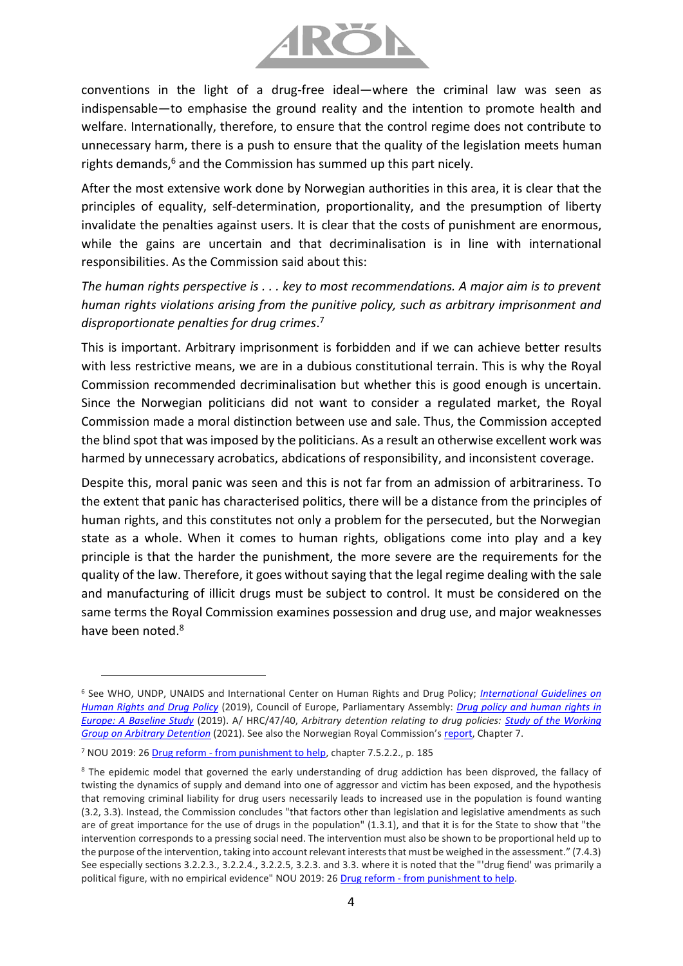

conventions in the light of a drug-free ideal—where the criminal law was seen as indispensable—to emphasise the ground reality and the intention to promote health and welfare. Internationally, therefore, to ensure that the control regime does not contribute to unnecessary harm, there is a push to ensure that the quality of the legislation meets human rights demands,<sup>6</sup> and the Commission has summed up this part nicely.

After the most extensive work done by Norwegian authorities in this area, it is clear that the principles of equality, self-determination, proportionality, and the presumption of liberty invalidate the penalties against users. It is clear that the costs of punishment are enormous, while the gains are uncertain and that decriminalisation is in line with international responsibilities. As the Commission said about this:

*The human rights perspective is . . . key to most recommendations. A major aim is to prevent human rights violations arising from the punitive policy, such as arbitrary imprisonment and disproportionate penalties for drug crimes*. 7

This is important. Arbitrary imprisonment is forbidden and if we can achieve better results with less restrictive means, we are in a dubious constitutional terrain. This is why the Royal Commission recommended decriminalisation but whether this is good enough is uncertain. Since the Norwegian politicians did not want to consider a regulated market, the Royal Commission made a moral distinction between use and sale. Thus, the Commission accepted the blind spot that was imposed by the politicians. As a result an otherwise excellent work was harmed by unnecessary acrobatics, abdications of responsibility, and inconsistent coverage.

Despite this, moral panic was seen and this is not far from an admission of arbitrariness. To the extent that panic has characterised politics, there will be a distance from the principles of human rights, and this constitutes not only a problem for the persecuted, but the Norwegian state as a whole. When it comes to human rights, obligations come into play and a key principle is that the harder the punishment, the more severe are the requirements for the quality of the law. Therefore, it goes without saying that the legal regime dealing with the sale and manufacturing of illicit drugs must be subject to control. It must be considered on the same terms the Royal Commission examines possession and drug use, and major weaknesses have been noted.<sup>8</sup>

<sup>6</sup> See WHO, UNDP, UNAIDS and International Center on Human Rights and Drug Policy; *[International Guidelines on](https://www.undp.org/publications/international-guidelines-human-rights-and-drug-policy)  [Human Rights and Drug Policy](https://www.undp.org/publications/international-guidelines-human-rights-and-drug-policy)* (2019), Council of Europe, Parliamentary Assembly: *[Drug policy and human rights in](http://www.assembly.coe.int/LifeRay/JUR/Pdf/DocsAndDecs/2019/AS-JUR-2019-25-EN.pdf)  [Europe: A Baseline Study](http://www.assembly.coe.int/LifeRay/JUR/Pdf/DocsAndDecs/2019/AS-JUR-2019-25-EN.pdf)* (2019). A/ HRC/47/40, *Arbitrary detention relating to drug policies: [Study of the Working](https://www.ohchr.org/Documents/Issues/Detention/Call/A_HRC_47_40_AdvanceEditedVersion.pdf)  [Group on Arbitrary Detention](https://www.ohchr.org/Documents/Issues/Detention/Call/A_HRC_47_40_AdvanceEditedVersion.pdf)* (2021). See also the Norwegian Royal Commission's [report,](https://www.regjeringen.no/no/dokumenter/nou-2019-26/id2683531/) Chapter 7.

<sup>7</sup> NOU 2019: 26 Drug reform - [from punishment to help,](https://www.regjeringen.no/no/dokumenter/nou-2019-26/id2683531/) chapter 7.5.2.2., p. 185

<sup>&</sup>lt;sup>8</sup> The epidemic model that governed the early understanding of drug addiction has been disproved, the fallacy of twisting the dynamics of supply and demand into one of aggressor and victim has been exposed, and the hypothesis that removing criminal liability for drug users necessarily leads to increased use in the population is found wanting (3.2, 3.3). Instead, the Commission concludes "that factors other than legislation and legislative amendments as such are of great importance for the use of drugs in the population" (1.3.1), and that it is for the State to show that "the intervention corresponds to a pressing social need. The intervention must also be shown to be proportional held up to the purpose of the intervention, taking into account relevant interests that must be weighed in the assessment." (7.4.3) See especially sections 3.2.2.3., 3.2.2.4., 3.2.2.5, 3.2.3. and 3.3. where it is noted that the "'drug fiend' was primarily a political figure, with no empirical evidence" NOU 2019: 26 Drug reform - [from punishment to help.](https://www.regjeringen.no/no/dokumenter/nou-2019-26/id2683531/)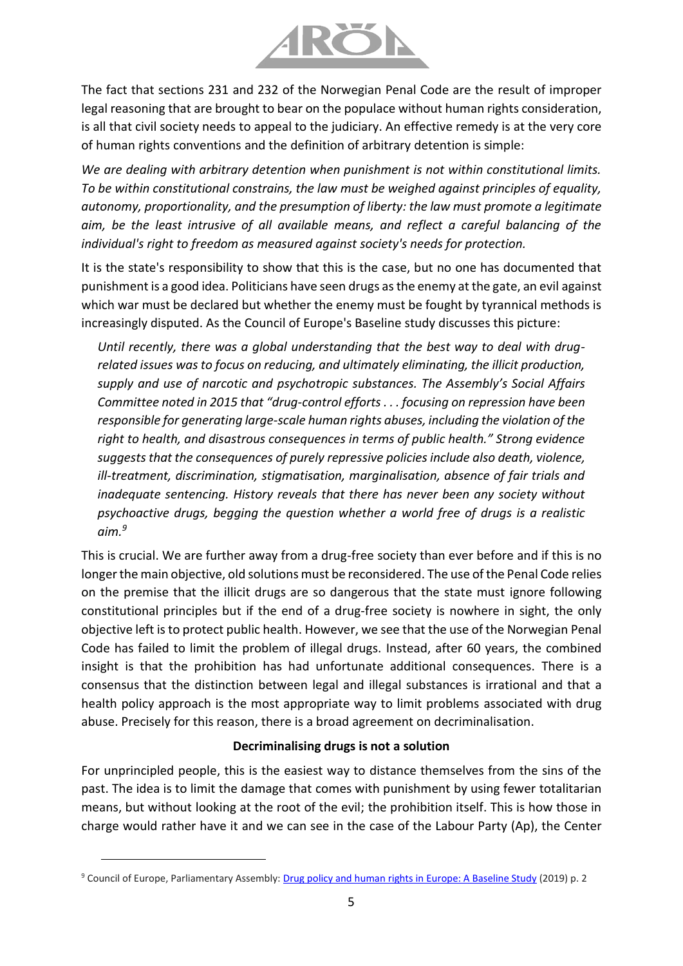

The fact that sections 231 and 232 of the Norwegian Penal Code are the result of improper legal reasoning that are brought to bear on the populace without human rights consideration, is all that civil society needs to appeal to the judiciary. An effective remedy is at the very core of human rights conventions and the definition of arbitrary detention is simple:

*We are dealing with arbitrary detention when punishment is not within constitutional limits. To be within constitutional constrains, the law must be weighed against principles of equality, autonomy, proportionality, and the presumption of liberty: the law must promote a legitimate aim, be the least intrusive of all available means, and reflect a careful balancing of the individual's right to freedom as measured against society's needs for protection.*

It is the state's responsibility to show that this is the case, but no one has documented that punishment is a good idea. Politicians have seen drugs as the enemy at the gate, an evil against which war must be declared but whether the enemy must be fought by tyrannical methods is increasingly disputed. As the Council of Europe's Baseline study discusses this picture:

*Until recently, there was a global understanding that the best way to deal with drugrelated issues was to focus on reducing, and ultimately eliminating, the illicit production, supply and use of narcotic and psychotropic substances. The Assembly's Social Affairs Committee noted in 2015 that "drug-control efforts . . . focusing on repression have been responsible for generating large-scale human rights abuses, including the violation of the right to health, and disastrous consequences in terms of public health." Strong evidence suggests that the consequences of purely repressive policies include also death, violence, ill-treatment, discrimination, stigmatisation, marginalisation, absence of fair trials and inadequate sentencing. History reveals that there has never been any society without psychoactive drugs, begging the question whether a world free of drugs is a realistic aim.<sup>9</sup>*

This is crucial. We are further away from a drug-free society than ever before and if this is no longer the main objective, old solutions must be reconsidered. The use of the Penal Code relies on the premise that the illicit drugs are so dangerous that the state must ignore following constitutional principles but if the end of a drug-free society is nowhere in sight, the only objective left is to protect public health. However, we see that the use of the Norwegian Penal Code has failed to limit the problem of illegal drugs. Instead, after 60 years, the combined insight is that the prohibition has had unfortunate additional consequences. There is a consensus that the distinction between legal and illegal substances is irrational and that a health policy approach is the most appropriate way to limit problems associated with drug abuse. Precisely for this reason, there is a broad agreement on decriminalisation.

#### **Decriminalising drugs is not a solution**

For unprincipled people, this is the easiest way to distance themselves from the sins of the past. The idea is to limit the damage that comes with punishment by using fewer totalitarian means, but without looking at the root of the evil; the prohibition itself. This is how those in charge would rather have it and we can see in the case of the Labour Party (Ap), the Center

<sup>&</sup>lt;sup>9</sup> Council of Europe, Parliamentary Assembly: [Drug policy and human rights in](http://www.assembly.coe.int/LifeRay/JUR/Pdf/DocsAndDecs/2019/AS-JUR-2019-25-EN.pdf) Europe: A Baseline Study (2019) p. 2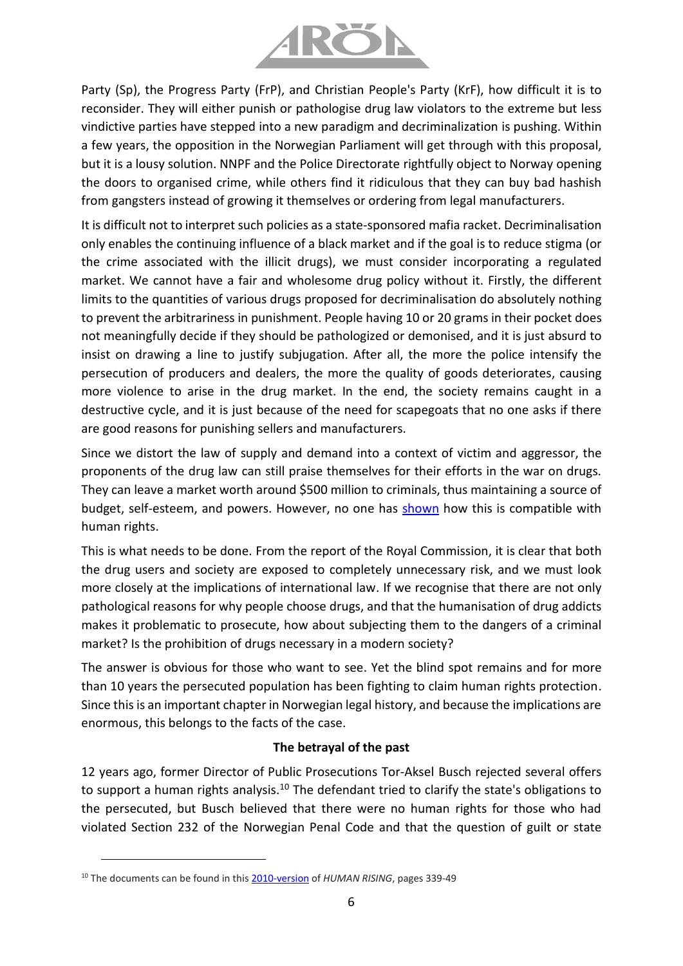

Party (Sp), the Progress Party (FrP), and Christian People's Party (KrF), how difficult it is to reconsider. They will either punish or pathologise drug law violators to the extreme but less vindictive parties have stepped into a new paradigm and decriminalization is pushing. Within a few years, the opposition in the Norwegian Parliament will get through with this proposal, but it is a lousy solution. NNPF and the Police Directorate rightfully object to Norway opening the doors to organised crime, while others find it ridiculous that they can buy bad hashish from gangsters instead of growing it themselves or ordering from legal manufacturers.

It is difficult not to interpret such policies as a state-sponsored mafia racket. Decriminalisation only enables the continuing influence of a black market and if the goal is to reduce stigma (or the crime associated with the illicit drugs), we must consider incorporating a regulated market. We cannot have a fair and wholesome drug policy without it. Firstly, the different limits to the quantities of various drugs proposed for decriminalisation do absolutely nothing to prevent the arbitrariness in punishment. People having 10 or 20 grams in their pocket does not meaningfully decide if they should be pathologized or demonised, and it is just absurd to insist on drawing a line to justify subjugation. After all, the more the police intensify the persecution of producers and dealers, the more the quality of goods deteriorates, causing more violence to arise in the drug market. In the end, the society remains caught in a destructive cycle, and it is just because of the need for scapegoats that no one asks if there are good reasons for punishing sellers and manufacturers.

Since we distort the law of supply and demand into a context of victim and aggressor, the proponents of the drug law can still praise themselves for their efforts in the war on drugs. They can leave a market worth around \$500 million to criminals, thus maintaining a source of budget, self-esteem, and powers. However, no one has [shown](https://www.tk.no/nims-ansvar-for-rusreformens-forfulgte/o/5-51-1079469) how this is compatible with human rights.

This is what needs to be done. From the report of the Royal Commission, it is clear that both the drug users and society are exposed to completely unnecessary risk, and we must look more closely at the implications of international law. If we recognise that there are not only pathological reasons for why people choose drugs, and that the humanisation of drug addicts makes it problematic to prosecute, how about subjecting them to the dangers of a criminal market? Is the prohibition of drugs necessary in a modern society?

The answer is obvious for those who want to see. Yet the blind spot remains and for more than 10 years the persecuted population has been fighting to claim human rights protection. Since this is an important chapter in Norwegian legal history, and because the implications are enormous, this belongs to the facts of the case.

## **The betrayal of the past**

12 years ago, former Director of Public Prosecutions Tor-Aksel Busch rejected several offers to support a human rights analysis.<sup>10</sup> The defendant tried to clarify the state's obligations to the persecuted, but Busch believed that there were no human rights for those who had violated Section 232 of the Norwegian Penal Code and that the question of guilt or state

<sup>&</sup>lt;sup>10</sup> The documents can be found in this **2010-version** of *HUMAN RISING*, pages 339-49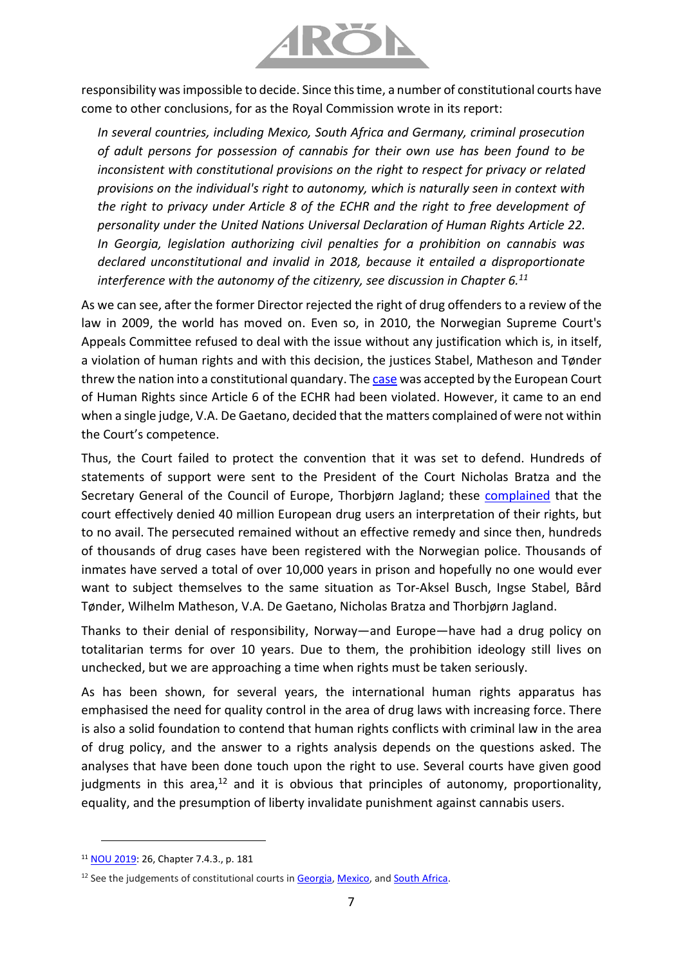

responsibility was impossible to decide. Since this time, a number of constitutional courts have come to other conclusions, for as the Royal Commission wrote in its report:

*In several countries, including Mexico, South Africa and Germany, criminal prosecution of adult persons for possession of cannabis for their own use has been found to be inconsistent with constitutional provisions on the right to respect for privacy or related provisions on the individual's right to autonomy, which is naturally seen in context with the right to privacy under Article 8 of the ECHR and the right to free development of personality under the United Nations Universal Declaration of Human Rights Article 22. In Georgia, legislation authorizing civil penalties for a prohibition on cannabis was declared unconstitutional and invalid in 2018, because it entailed a disproportionate interference with the autonomy of the citizenry, see discussion in Chapter 6.<sup>11</sup>*

As we can see, after the former Director rejected the right of drug offenders to a review of the law in 2009, the world has moved on. Even so, in 2010, the Norwegian Supreme Court's Appeals Committee refused to deal with the issue without any justification which is, in itself, a violation of human rights and with this decision, the justices Stabel, Matheson and Tønder threw the nation into a constitutional quandary. Th[e case](https://www.arodpolicies.org/_files/ugd/a479b9_dcf552946b784c98af9331ab70c05c50.pdf) was accepted by the European Court of Human Rights since Article 6 of the ECHR had been violated. However, it came to an end when a single judge, V.A. De Gaetano, decided that the matters complained of were not within the Court's competence.

Thus, the Court failed to protect the convention that it was set to defend. Hundreds of statements of support were sent to the President of the Court Nicholas Bratza and the Secretary General of the Council of Europe, Thorbjørn Jagland; these [complained](https://www.arodpolicies.org/_files/ugd/a479b9_533b83943dcc4a889a03ab4e76890963.pdf) that the court effectively denied 40 million European drug users an interpretation of their rights, but to no avail. The persecuted remained without an effective remedy and since then, hundreds of thousands of drug cases have been registered with the Norwegian police. Thousands of inmates have served a total of over 10,000 years in prison and hopefully no one would ever want to subject themselves to the same situation as Tor-Aksel Busch, Ingse Stabel, Bård Tønder, Wilhelm Matheson, V.A. De Gaetano, Nicholas Bratza and Thorbjørn Jagland.

Thanks to their denial of responsibility, Norway—and Europe—have had a drug policy on totalitarian terms for over 10 years. Due to them, the prohibition ideology still lives on unchecked, but we are approaching a time when rights must be taken seriously.

As has been shown, for several years, the international human rights apparatus has emphasised the need for quality control in the area of drug laws with increasing force. There is also a solid foundation to contend that human rights conflicts with criminal law in the area of drug policy, and the answer to a rights analysis depends on the questions asked. The analyses that have been done touch upon the right to use. Several courts have given good judgments in this area, $12$  and it is obvious that principles of autonomy, proportionality, equality, and the presumption of liberty invalidate punishment against cannabis users.

<sup>11</sup> [NOU 2019:](https://www.regjeringen.no/no/dokumenter/nou-2019-26/id2683531/) 26, Chapter 7.4.3., p. 181

<sup>&</sup>lt;sup>12</sup> See the judgements of constitutional courts in [Georgia,](http://www.codices.coe.int/NXT/gateway.dll/CODICES/full/eur/geo/eng/geo-2018-3-003) [Mexico,](https://www.dof.gob.mx/nota_detalle.php?codigo=5623991&fecha=15/07/2021) an[d South Africa.](http://www.saflii.org.za/za/cases/ZACC/2018/30.pdf)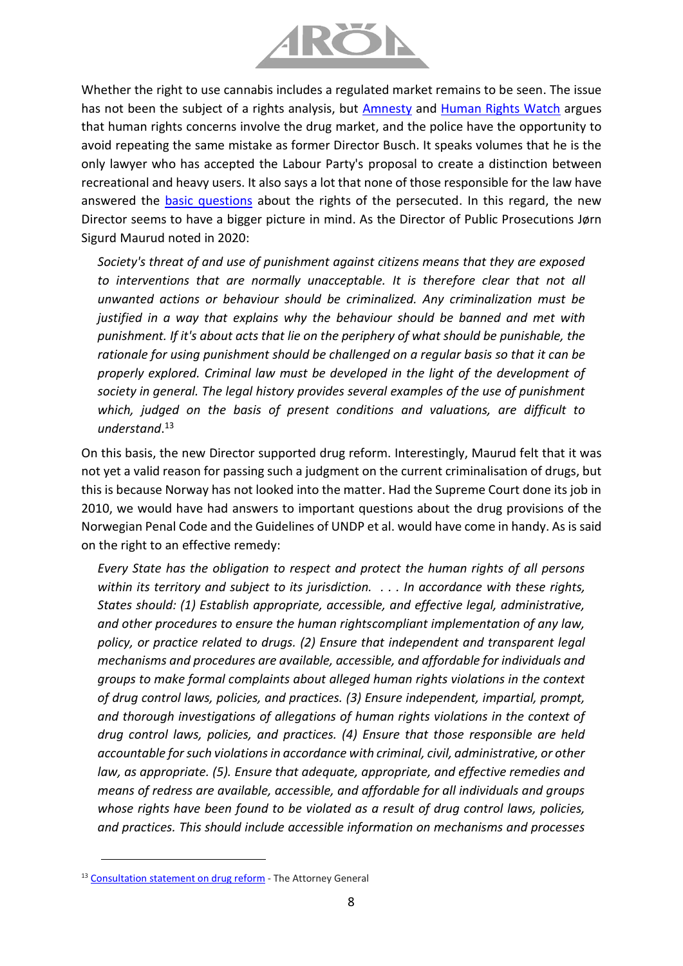

Whether the right to use cannabis includes a regulated market remains to be seen. The issue has not been the subject of a rights analysis, but [Amnesty](https://www.amnesty.org/en/wp-content/uploads/2021/05/POL3011302019ENGLISH.pdf) and [Human Rights Watch](https://www.hrw.org/tag/drugs-and-human-rights) argues that human rights concerns involve the drug market, and the police have the opportunity to avoid repeating the same mistake as former Director Busch. It speaks volumes that he is the only lawyer who has accepted the Labour Party's proposal to create a distinction between recreational and heavy users. It also says a lot that none of those responsible for the law have answered the [basic questions](https://www.arodpolicies.org/five-questions-that-must-be-answere) about the rights of the persecuted. In this regard, the new Director seems to have a bigger picture in mind. As the Director of Public Prosecutions Jørn Sigurd Maurud noted in 2020:

*Society's threat of and use of punishment against citizens means that they are exposed to interventions that are normally unacceptable. It is therefore clear that not all unwanted actions or behaviour should be criminalized. Any criminalization must be justified in a way that explains why the behaviour should be banned and met with punishment. If it's about acts that lie on the periphery of what should be punishable, the rationale for using punishment should be challenged on a regular basis so that it can be properly explored. Criminal law must be developed in the light of the development of society in general. The legal history provides several examples of the use of punishment which, judged on the basis of present conditions and valuations, are difficult to understand*. 13

On this basis, the new Director supported drug reform. Interestingly, Maurud felt that it was not yet a valid reason for passing such a judgment on the current criminalisation of drugs, but this is because Norway has not looked into the matter. Had the Supreme Court done its job in 2010, we would have had answers to important questions about the drug provisions of the Norwegian Penal Code and the Guidelines of UNDP et al. would have come in handy. As is said on the right to an effective remedy:

*Every State has the obligation to respect and protect the human rights of all persons within its territory and subject to its jurisdiction. . . . In accordance with these rights, States should: (1) Establish appropriate, accessible, and effective legal, administrative, and other procedures to ensure the human rightscompliant implementation of any law, policy, or practice related to drugs. (2) Ensure that independent and transparent legal mechanisms and procedures are available, accessible, and affordable for individuals and groups to make formal complaints about alleged human rights violations in the context of drug control laws, policies, and practices. (3) Ensure independent, impartial, prompt, and thorough investigations of allegations of human rights violations in the context of drug control laws, policies, and practices. (4) Ensure that those responsible are held accountable for such violations in accordance with criminal, civil, administrative, or other law, as appropriate. (5). Ensure that adequate, appropriate, and effective remedies and means of redress are available, accessible, and affordable for all individuals and groups whose rights have been found to be violated as a result of drug control laws, policies, and practices. This should include accessible information on mechanisms and processes* 

<sup>&</sup>lt;sup>13</sup> [Consultation statement on drug reform](https://www.riksadvokaten.no/document/horingsuttalelse-om-rusreform/) - The Attorney General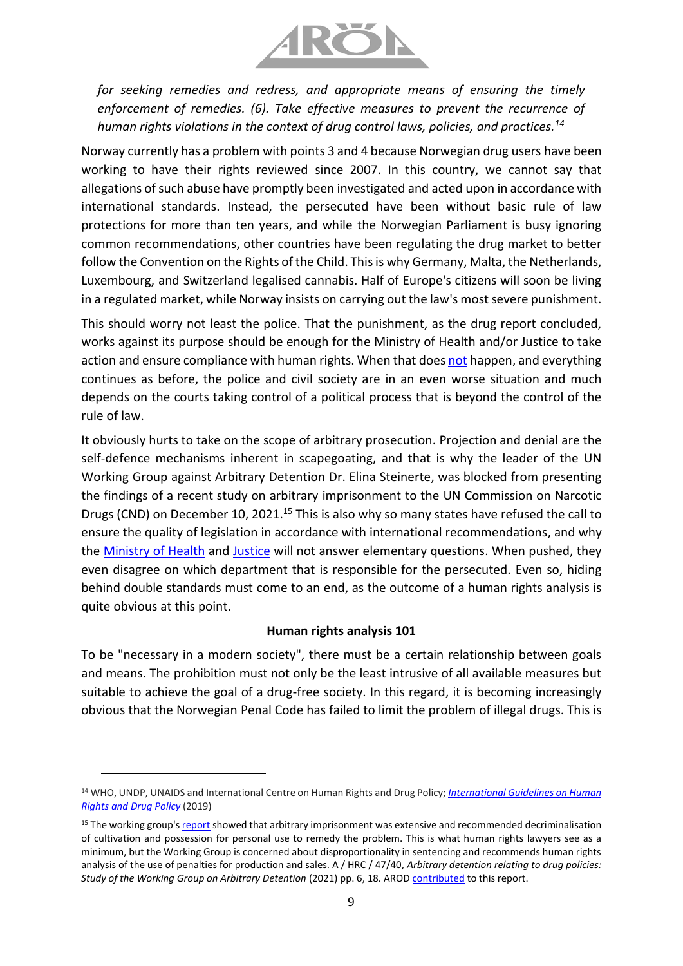

*for seeking remedies and redress, and appropriate means of ensuring the timely enforcement of remedies. (6). Take effective measures to prevent the recurrence of human rights violations in the context of drug control laws, policies, and practices.<sup>14</sup>*

Norway currently has a problem with points 3 and 4 because Norwegian drug users have been working to have their rights reviewed since 2007. In this country, we cannot say that allegations of such abuse have promptly been investigated and acted upon in accordance with international standards. Instead, the persecuted have been without basic rule of law protections for more than ten years, and while the Norwegian Parliament is busy ignoring common recommendations, other countries have been regulating the drug market to better follow the Convention on the Rights of the Child. This is why Germany, Malta, the Netherlands, Luxembourg, and Switzerland legalised cannabis. Half of Europe's citizens will soon be living in a regulated market, while Norway insists on carrying out the law's most severe punishment.

This should worry not least the police. That the punishment, as the drug report concluded, works against its purpose should be enough for the Ministry of Health and/or Justice to take action and ensure compliance with human rights. When that does [not](https://8c75b10d-e0b1-4d25-99ed-609c80001c6c.filesusr.com/ugd/a479b9_2d1fee88d04c44e2ad9c8cb472cd41ff.pdf) happen, and everything continues as before, the police and civil society are in an even worse situation and much depends on the courts taking control of a political process that is beyond the control of the rule of law.

It obviously hurts to take on the scope of arbitrary prosecution. Projection and denial are the self-defence mechanisms inherent in scapegoating, and that is why the leader of the UN Working Group against Arbitrary Detention Dr. Elina Steinerte, was blocked from presenting the findings of a recent study on arbitrary imprisonment to the UN Commission on Narcotic Drugs (CND) on December 10, 2021.<sup>15</sup> This is also why so many states have refused the call to ensure the quality of legislation in accordance with international recommendations, and why the [Ministry of Health](https://www.arodpolicies.org/_files/ugd/a479b9_b745b1e9ce69446bbbaed4e8b31c6086.pdf) and [Justice](https://www.arodpolicies.org/_files/ugd/a479b9_d807651681ad414f8a36863fb3d89fbf.pdf) will not answer elementary questions. When pushed, they even disagree on which department that is responsible for the persecuted. Even so, hiding behind double standards must come to an end, as the outcome of a human rights analysis is quite obvious at this point.

## **Human rights analysis 101**

To be "necessary in a modern society", there must be a certain relationship between goals and means. The prohibition must not only be the least intrusive of all available measures but suitable to achieve the goal of a drug-free society. In this regard, it is becoming increasingly obvious that the Norwegian Penal Code has failed to limit the problem of illegal drugs. This is

<sup>14</sup> WHO, UNDP, UNAIDS and International Centre on Human Rights and Drug Policy; *[International Guidelines on Human](https://www.undp.org/publications/international-guidelines-human-rights-and-drug-policy)  [Rights and Drug Policy](https://www.undp.org/publications/international-guidelines-human-rights-and-drug-policy)* (2019)

<sup>&</sup>lt;sup>15</sup> The working group'[s report](https://www.ohchr.org/Documents/Issues/Detention/Call/A_HRC_47_40_AdvanceEditedVersion.pdf) showed that arbitrary imprisonment was extensive and recommended decriminalisation of cultivation and possession for personal use to remedy the problem. This is what human rights lawyers see as a minimum, but the Working Group is concerned about disproportionality in sentencing and recommends human rights analysis of the use of penalties for production and sales. A / HRC / 47/40, *Arbitrary detention relating to drug policies: Study of the Working Group on Arbitrary Detention* (2021) pp. 6, 18. ARO[D contributed](https://www.ohchr.org/Documents/Issues/Detention/Call/CSOs/Alliance_for_rights-oriented_drug_policies.pdf) to this report.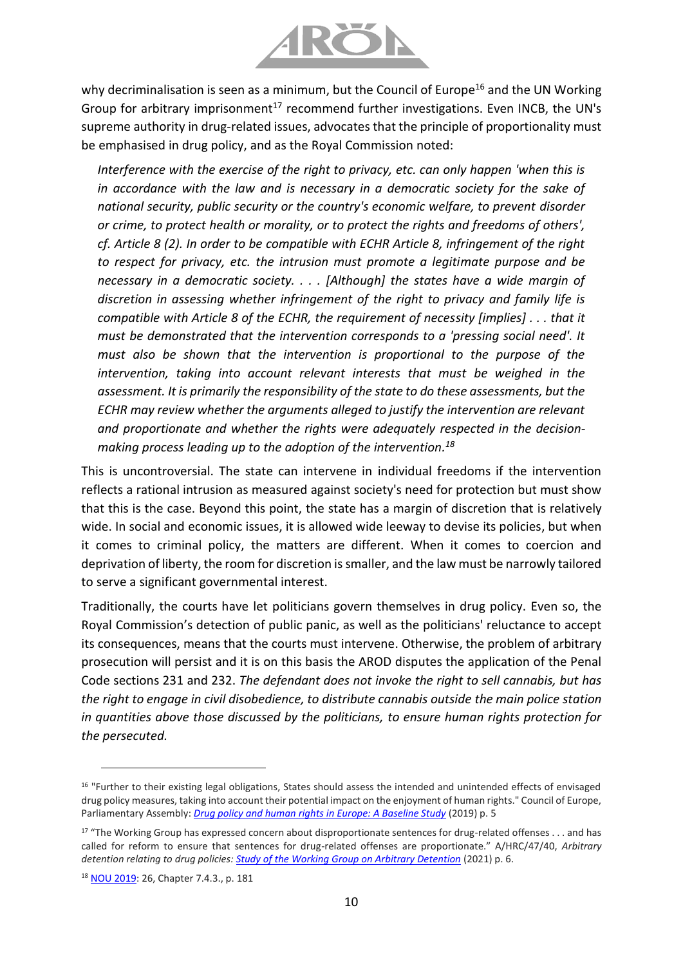

why decriminalisation is seen as a minimum, but the Council of Europe<sup>16</sup> and the UN Working Group for arbitrary imprisonment<sup>17</sup> recommend further investigations. Even INCB, the UN's supreme authority in drug-related issues, advocates that the principle of proportionality must be emphasised in drug policy, and as the Royal Commission noted:

*Interference with the exercise of the right to privacy, etc. can only happen 'when this is* in accordance with the law and is necessary in a democratic society for the sake of *national security, public security or the country's economic welfare, to prevent disorder or crime, to protect health or morality, or to protect the rights and freedoms of others', cf. Article 8 (2). In order to be compatible with ECHR Article 8, infringement of the right to respect for privacy, etc. the intrusion must promote a legitimate purpose and be necessary in a democratic society. . . . [Although] the states have a wide margin of discretion in assessing whether infringement of the right to privacy and family life is compatible with Article 8 of the ECHR, the requirement of necessity [implies] . . . that it must be demonstrated that the intervention corresponds to a 'pressing social need'. It must also be shown that the intervention is proportional to the purpose of the intervention, taking into account relevant interests that must be weighed in the assessment. It is primarily the responsibility of the state to do these assessments, but the ECHR may review whether the arguments alleged to justify the intervention are relevant and proportionate and whether the rights were adequately respected in the decisionmaking process leading up to the adoption of the intervention. 18*

This is uncontroversial. The state can intervene in individual freedoms if the intervention reflects a rational intrusion as measured against society's need for protection but must show that this is the case. Beyond this point, the state has a margin of discretion that is relatively wide. In social and economic issues, it is allowed wide leeway to devise its policies, but when it comes to criminal policy, the matters are different. When it comes to coercion and deprivation of liberty, the room for discretion is smaller, and the law must be narrowly tailored to serve a significant governmental interest.

Traditionally, the courts have let politicians govern themselves in drug policy. Even so, the Royal Commission's detection of public panic, as well as the politicians' reluctance to accept its consequences, means that the courts must intervene. Otherwise, the problem of arbitrary prosecution will persist and it is on this basis the AROD disputes the application of the Penal Code sections 231 and 232. *The defendant does not invoke the right to sell cannabis, but has the right to engage in civil disobedience, to distribute cannabis outside the main police station in quantities above those discussed by the politicians, to ensure human rights protection for the persecuted.*

<sup>&</sup>lt;sup>16</sup> "Further to their existing legal obligations, States should assess the intended and unintended effects of envisaged drug policy measures, taking into account their potential impact on the enjoyment of human rights." Council of Europe, Parliamentary Assembly: *[Drug policy and human rights in Europe: A Baseline Study](http://www.assembly.coe.int/LifeRay/JUR/Pdf/DocsAndDecs/2019/AS-JUR-2019-25-EN.pdf)* (2019) p. 5

<sup>&</sup>lt;sup>17</sup> "The Working Group has expressed concern about disproportionate sentences for drug-related offenses . . . and has called for reform to ensure that sentences for drug-related offenses are proportionate." A/HRC/47/40, *Arbitrary detention relating to drug policies: [Study of the Working Group on Arbitrary Detention](https://www.ohchr.org/Documents/Issues/Detention/Call/A_HRC_47_40_AdvanceEditedVersion.pdf)* (2021) p. 6.

<sup>18</sup> [NOU 2019:](https://www.regjeringen.no/no/dokumenter/nou-2019-26/id2683531/) 26, Chapter 7.4.3., p. 181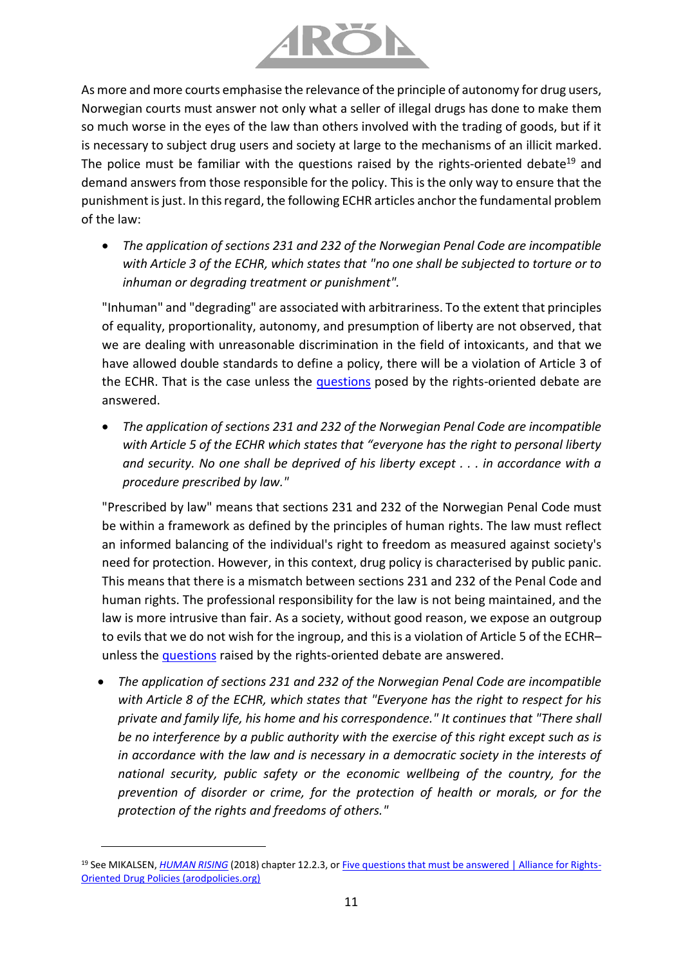

As more and more courts emphasise the relevance of the principle of autonomy for drug users, Norwegian courts must answer not only what a seller of illegal drugs has done to make them so much worse in the eyes of the law than others involved with the trading of goods, but if it is necessary to subject drug users and society at large to the mechanisms of an illicit marked. The police must be familiar with the questions raised by the rights-oriented debate<sup>19</sup> and demand answers from those responsible for the policy. This is the only way to ensure that the punishment is just. In this regard, the following ECHR articles anchor the fundamental problem of the law:

• *The application of sections 231 and 232 of the Norwegian Penal Code are incompatible with Article 3 of the ECHR, which states that "no one shall be subjected to torture or to inhuman or degrading treatment or punishment".* 

"Inhuman" and "degrading" are associated with arbitrariness. To the extent that principles of equality, proportionality, autonomy, and presumption of liberty are not observed, that we are dealing with unreasonable discrimination in the field of intoxicants, and that we have allowed double standards to define a policy, there will be a violation of Article 3 of the ECHR. That is the case unless the [questions](https://www.arodpolicies.org/five-questions-that-must-be-answere) posed by the rights-oriented debate are answered.

• *The application of sections 231 and 232 of the Norwegian Penal Code are incompatible with Article 5 of the ECHR which states that "everyone has the right to personal liberty and security. No one shall be deprived of his liberty except . . . in accordance with a procedure prescribed by law."*

"Prescribed by law" means that sections 231 and 232 of the Norwegian Penal Code must be within a framework as defined by the principles of human rights. The law must reflect an informed balancing of the individual's right to freedom as measured against society's need for protection. However, in this context, drug policy is characterised by public panic. This means that there is a mismatch between sections 231 and 232 of the Penal Code and human rights. The professional responsibility for the law is not being maintained, and the law is more intrusive than fair. As a society, without good reason, we expose an outgroup to evils that we do not wish for the ingroup, and this is a violation of Article 5 of the ECHR– unless the [questions](https://www.arodpolicies.org/five-questions-that-must-be-answere) raised by the rights-oriented debate are answered.

• *The application of sections 231 and 232 of the Norwegian Penal Code are incompatible with Article 8 of the ECHR, which states that "Everyone has the right to respect for his private and family life, his home and his correspondence." It continues that "There shall be no interference by a public authority with the exercise of this right except such as is in accordance with the law and is necessary in a democratic society in the interests of national security, public safety or the economic wellbeing of the country, for the prevention of disorder or crime, for the protection of health or morals, or for the protection of the rights and freedoms of others."*

<sup>&</sup>lt;sup>19</sup> See MIKALSEN, *[HUMAN RISING](https://8c75b10d-e0b1-4d25-99ed-609c80001c6c.filesusr.com/ugd/a479b9_a6fb947e46d54fc2a14823029e7a5459.pdf)* (2018) chapter 12.2.3, or [Five questions that must be answered | Alliance for Rights-](https://www.arodpolicies.org/five-questions-that-must-be-answere)[Oriented Drug Policies \(arodpolicies.org\)](https://www.arodpolicies.org/five-questions-that-must-be-answere)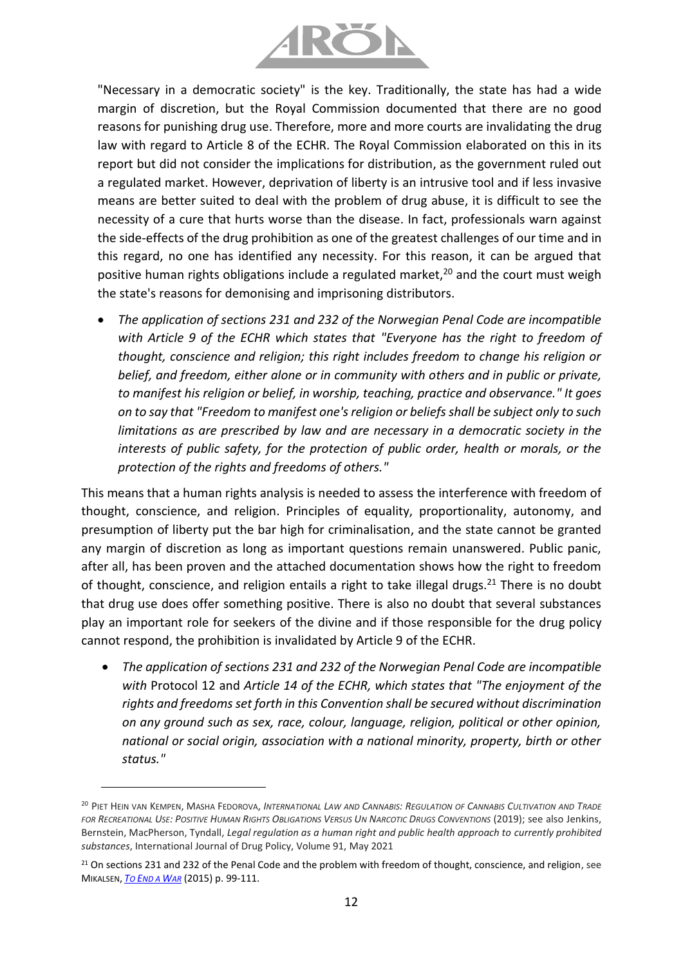

"Necessary in a democratic society" is the key. Traditionally, the state has had a wide margin of discretion, but the Royal Commission documented that there are no good reasons for punishing drug use. Therefore, more and more courts are invalidating the drug law with regard to Article 8 of the ECHR. The Royal Commission elaborated on this in its report but did not consider the implications for distribution, as the government ruled out a regulated market. However, deprivation of liberty is an intrusive tool and if less invasive means are better suited to deal with the problem of drug abuse, it is difficult to see the necessity of a cure that hurts worse than the disease. In fact, professionals warn against the side-effects of the drug prohibition as one of the greatest challenges of our time and in this regard, no one has identified any necessity. For this reason, it can be argued that positive human rights obligations include a regulated market,<sup>20</sup> and the court must weigh the state's reasons for demonising and imprisoning distributors.

• *The application of sections 231 and 232 of the Norwegian Penal Code are incompatible with Article 9 of the ECHR which states that "Everyone has the right to freedom of thought, conscience and religion; this right includes freedom to change his religion or belief, and freedom, either alone or in community with others and in public or private, to manifest his religion or belief, in worship, teaching, practice and observance." It goes on to say that "Freedom to manifest one's religion or beliefs shall be subject only to such limitations as are prescribed by law and are necessary in a democratic society in the interests of public safety, for the protection of public order, health or morals, or the protection of the rights and freedoms of others."*

This means that a human rights analysis is needed to assess the interference with freedom of thought, conscience, and religion. Principles of equality, proportionality, autonomy, and presumption of liberty put the bar high for criminalisation, and the state cannot be granted any margin of discretion as long as important questions remain unanswered. Public panic, after all, has been proven and the attached documentation shows how the right to freedom of thought, conscience, and religion entails a right to take illegal drugs.<sup>21</sup> There is no doubt that drug use does offer something positive. There is also no doubt that several substances play an important role for seekers of the divine and if those responsible for the drug policy cannot respond, the prohibition is invalidated by Article 9 of the ECHR.

• *The application of sections 231 and 232 of the Norwegian Penal Code are incompatible with* Protocol 12 and *Article 14 of the ECHR, which states that "The enjoyment of the rights and freedoms set forth in this Convention shall be secured without discrimination on any ground such as sex, race, colour, language, religion, political or other opinion, national or social origin, association with a national minority, property, birth or other status."*

<sup>20</sup> PIET HEIN VAN KEMPEN, MASHA FEDOROVA, *INTERNATIONAL LAW AND CANNABIS: REGULATION OF CANNABIS CULTIVATION AND TRADE*  FOR RECREATIONAL USE: POSITIVE HUMAN RIGHTS OBLIGATIONS VERSUS UN NARCOTIC DRUGS CONVENTIONS (2019); see also Jenkins, Bernstein, MacPherson, Tyndall, *Legal regulation as a human right and public health approach to currently prohibited substances*, International Journal of Drug Policy, Volume 91, May 2021

<sup>&</sup>lt;sup>21</sup> On sections 231 and 232 of the Penal Code and the problem with freedom of thought, conscience, and religion, see MIKALSEN, *TO E[ND A](https://8c75b10d-e0b1-4d25-99ed-609c80001c6c.filesusr.com/ugd/a479b9_7d42e512731149f0b6b18fe7245242d2.pdf) WAR* (2015) p. 99-111.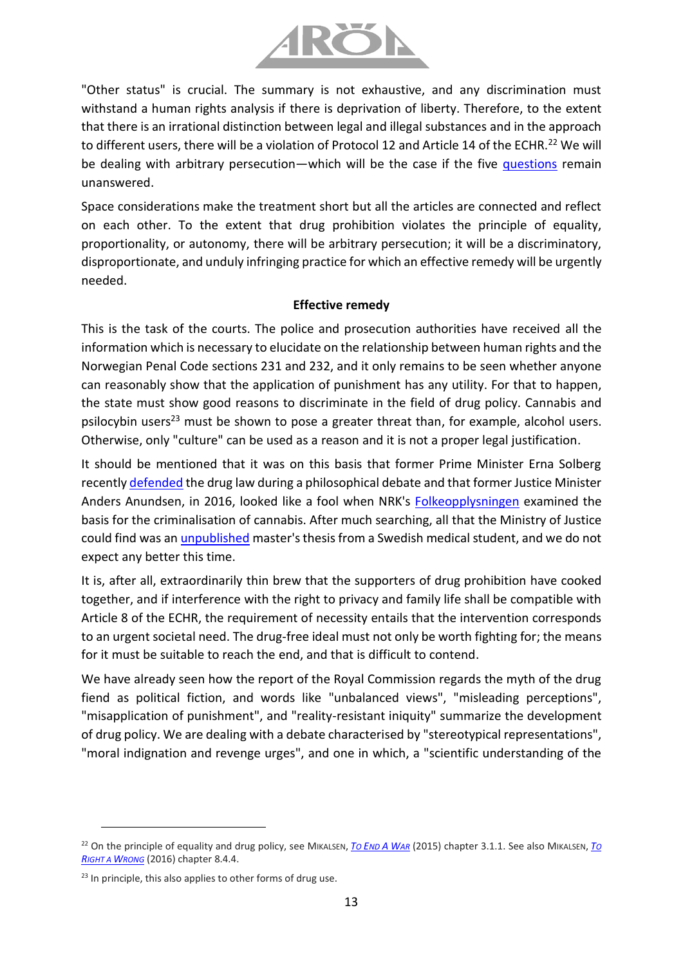

"Other status" is crucial. The summary is not exhaustive, and any discrimination must withstand a human rights analysis if there is deprivation of liberty. Therefore, to the extent that there is an irrational distinction between legal and illegal substances and in the approach to different users, there will be a violation of Protocol 12 and Article 14 of the ECHR.<sup>22</sup> We will be dealing with arbitrary persecution—which will be the case if the five [questions](https://www.arodpolicies.org/five-questions-that-must-be-answere) remain unanswered.

Space considerations make the treatment short but all the articles are connected and reflect on each other. To the extent that drug prohibition violates the principle of equality, proportionality, or autonomy, there will be arbitrary persecution; it will be a discriminatory, disproportionate, and unduly infringing practice for which an effective remedy will be urgently needed.

### **Effective remedy**

This is the task of the courts. The police and prosecution authorities have received all the information which is necessary to elucidate on the relationship between human rights and the Norwegian Penal Code sections 231 and 232, and it only remains to be seen whether anyone can reasonably show that the application of punishment has any utility. For that to happen, the state must show good reasons to discriminate in the field of drug policy. Cannabis and psilocybin users<sup>23</sup> must be shown to pose a greater threat than, for example, alcohol users. Otherwise, only "culture" can be used as a reason and it is not a proper legal justification.

It should be mentioned that it was on this basis that former Prime Minister Erna Solberg recently [defended](https://www.youtube.com/watch?v=y23lHkKaIZU) the drug law during a philosophical debate and that former Justice Minister Anders Anundsen, in 2016, looked like a fool when NRK's [Folkeopplysningen](https://tv.nrk.no/serie/folkeopplysningen/2016/KMTE50009615/avspiller) examined the basis for the criminalisation of cannabis. After much searching, all that the Ministry of Justice could find was an [unpublished](https://www.nrk.no/norge/kritiserer-anundsens-_cannabis-bevis__-brukte-upublisert-eksamensoppgave-1.13126432) master's thesis from a Swedish medical student, and we do not expect any better this time.

It is, after all, extraordinarily thin brew that the supporters of drug prohibition have cooked together, and if interference with the right to privacy and family life shall be compatible with Article 8 of the ECHR, the requirement of necessity entails that the intervention corresponds to an urgent societal need. The drug-free ideal must not only be worth fighting for; the means for it must be suitable to reach the end, and that is difficult to contend.

We have already seen how the report of the Royal Commission regards the myth of the drug fiend as political fiction, and words like "unbalanced views", "misleading perceptions", "misapplication of punishment", and "reality-resistant iniquity" summarize the development of drug policy. We are dealing with a debate characterised by "stereotypical representations", "moral indignation and revenge urges", and one in which, a "scientific understanding of the

<sup>22</sup> On the principle of equality and drug policy, see MIKALSEN, *TO E[ND](https://8c75b10d-e0b1-4d25-99ed-609c80001c6c.filesusr.com/ugd/a479b9_7d42e512731149f0b6b18fe7245242d2.pdf) A WAR* (2015) chapter 3.1.1. See also MIKALSEN, *T[O](https://8c75b10d-e0b1-4d25-99ed-609c80001c6c.filesusr.com/ugd/a479b9_0c9d495a6a7148bab94a875c96260992.pdf)  R[IGHT A](https://8c75b10d-e0b1-4d25-99ed-609c80001c6c.filesusr.com/ugd/a479b9_0c9d495a6a7148bab94a875c96260992.pdf) WRONG* (2016) chapter 8.4.4.

 $23$  In principle, this also applies to other forms of drug use.